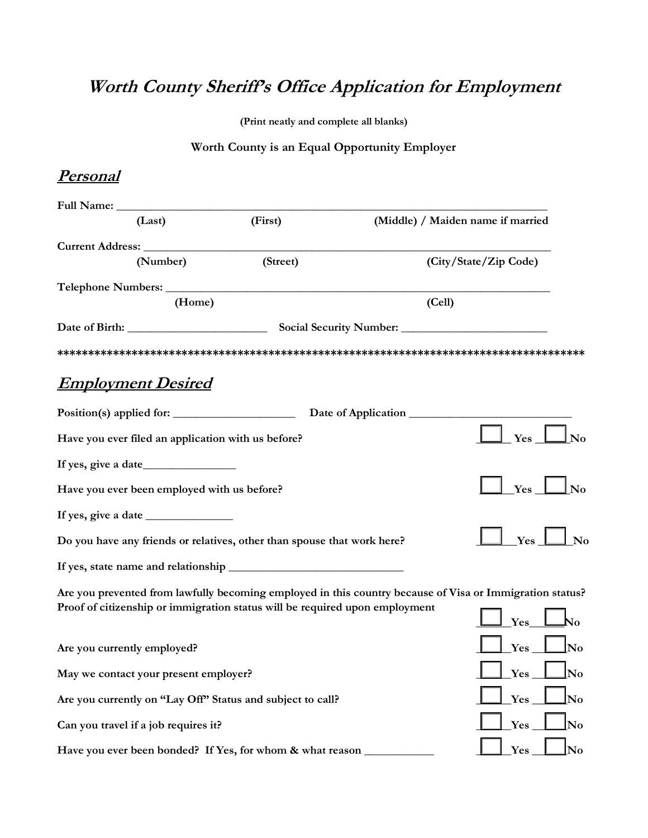# **Worth County Sheriff's Office Application for Employment**

**(Print neatly and complete all blanks)**

#### **Worth County is an Equal Opportunity Employer**

#### **Personal**

| (Last)                                                                      | (First)  | (Middle) / Maiden name if married                                                                                                                                                                                                                                                                                                                                                                                        |                        |
|-----------------------------------------------------------------------------|----------|--------------------------------------------------------------------------------------------------------------------------------------------------------------------------------------------------------------------------------------------------------------------------------------------------------------------------------------------------------------------------------------------------------------------------|------------------------|
|                                                                             |          |                                                                                                                                                                                                                                                                                                                                                                                                                          |                        |
| (Number)                                                                    | (Street) | (City/State/Zip Code)                                                                                                                                                                                                                                                                                                                                                                                                    |                        |
|                                                                             |          |                                                                                                                                                                                                                                                                                                                                                                                                                          |                        |
| (Home)                                                                      |          | (Cell)                                                                                                                                                                                                                                                                                                                                                                                                                   |                        |
|                                                                             |          |                                                                                                                                                                                                                                                                                                                                                                                                                          |                        |
|                                                                             |          |                                                                                                                                                                                                                                                                                                                                                                                                                          |                        |
| <b>Employment Desired</b>                                                   |          |                                                                                                                                                                                                                                                                                                                                                                                                                          |                        |
|                                                                             |          | Date of Application                                                                                                                                                                                                                                                                                                                                                                                                      |                        |
| Have you ever filed an application with us before?                          |          | $\perp$ Yes $\_$<br>$\bf \color{red} \rule{0.1mm}{0.12mm} \color{red} \rule{0.1mm}{0.12mm} \color{red} \rule{0.1mm}{0.12mm} \color{red} \rule{0.1mm}{0.12mm} \color{red} \rule{0.1mm}{0.12mm} \color{red} \rule{0.1mm}{0.12mm} \color{red} \rule{0.1mm}{0.12mm} \color{red} \rule{0.1mm}{0.12mm} \color{red} \rule{0.1mm}{0.12mm} \color{red} \rule{0.1mm}{0.12mm} \color{red} \rule{0.1mm}{0.12mm} \color{red} \rule{0$ |                        |
|                                                                             |          |                                                                                                                                                                                                                                                                                                                                                                                                                          |                        |
| Have you ever been employed with us before?                                 |          | $Yes$ $\Box$<br>$\bf \perp No$                                                                                                                                                                                                                                                                                                                                                                                           |                        |
|                                                                             |          |                                                                                                                                                                                                                                                                                                                                                                                                                          |                        |
| Do you have any friends or relatives, other than spouse that work here?     |          | $Yes_$                                                                                                                                                                                                                                                                                                                                                                                                                   | $\perp$ No             |
|                                                                             |          |                                                                                                                                                                                                                                                                                                                                                                                                                          |                        |
|                                                                             |          | Are you prevented from lawfully becoming employed in this country because of Visa or Immigration status?                                                                                                                                                                                                                                                                                                                 |                        |
| Proof of citizenship or immigration status will be required upon employment |          | $\mathbf{\Lambda_0}$<br>Yes                                                                                                                                                                                                                                                                                                                                                                                              |                        |
| Are you currently employed?                                                 |          | $Yes$ Mo                                                                                                                                                                                                                                                                                                                                                                                                                 |                        |
| May we contact your present employer?                                       |          | $\ln$<br>Yes                                                                                                                                                                                                                                                                                                                                                                                                             |                        |
| Are you currently on "Lay Off" Status and subject to call?                  |          | Yes                                                                                                                                                                                                                                                                                                                                                                                                                      | $\mathbf{N}\mathbf{o}$ |
| Can you travel if a job requires it?                                        |          | Yes<br>No                                                                                                                                                                                                                                                                                                                                                                                                                |                        |
| Have you ever been bonded? If Yes, for whom & what reason _                 |          | Yes                                                                                                                                                                                                                                                                                                                                                                                                                      | No                     |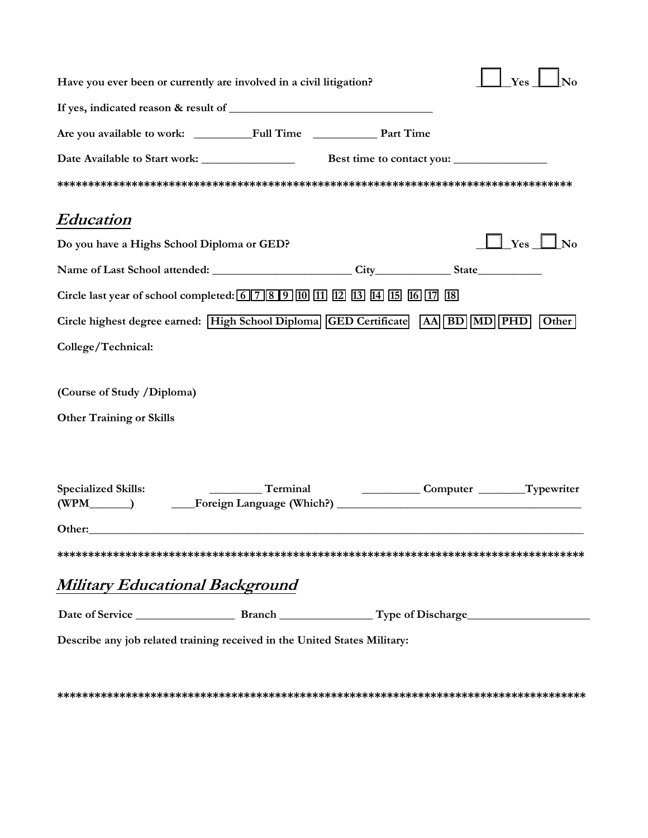|                                 | Have you ever been or currently are involved in a civil litigation?                                                                                                                                                            |                           |                            | Yes<br>No     |
|---------------------------------|--------------------------------------------------------------------------------------------------------------------------------------------------------------------------------------------------------------------------------|---------------------------|----------------------------|---------------|
|                                 |                                                                                                                                                                                                                                |                           |                            |               |
|                                 |                                                                                                                                                                                                                                |                           |                            |               |
|                                 |                                                                                                                                                                                                                                | Best time to contact you: |                            |               |
|                                 |                                                                                                                                                                                                                                |                           |                            |               |
| Education                       |                                                                                                                                                                                                                                |                           |                            |               |
|                                 | Do you have a Highs School Diploma or GED?                                                                                                                                                                                     |                           |                            | $Yes \Box No$ |
|                                 | Name of Last School attended: City City State                                                                                                                                                                                  |                           |                            |               |
|                                 | Circle last year of school completed: 6 7 8 9 10 11 12 13 14 15 16 17 18                                                                                                                                                       |                           |                            |               |
|                                 | Circle highest degree earned: High School Diploma GED Certificate AA BD MD PHD                                                                                                                                                 |                           |                            | Other         |
| College/Technical:              |                                                                                                                                                                                                                                |                           |                            |               |
| (Course of Study /Diploma)      |                                                                                                                                                                                                                                |                           |                            |               |
| <b>Other Training or Skills</b> |                                                                                                                                                                                                                                |                           |                            |               |
|                                 |                                                                                                                                                                                                                                |                           |                            |               |
| <b>Specialized Skills:</b>      | Terminal<br>(WPM_______) _________Foreign Language (Which?) _________________________________                                                                                                                                  |                           | Computer _______Typewriter |               |
|                                 | Other: experience of the contract of the contract of the contract of the contract of the contract of the contract of the contract of the contract of the contract of the contract of the contract of the contract of the contr |                           |                            |               |
|                                 |                                                                                                                                                                                                                                |                           |                            |               |
|                                 | Military Educational Background                                                                                                                                                                                                |                           |                            |               |
|                                 |                                                                                                                                                                                                                                |                           |                            |               |
|                                 | Describe any job related training received in the United States Military:                                                                                                                                                      |                           |                            |               |

**\*\*\*\*\*\*\*\*\*\*\*\*\*\*\*\*\*\*\*\*\*\*\*\*\*\*\*\*\*\*\*\*\*\*\*\*\*\*\*\*\*\*\*\*\*\*\*\*\*\*\*\*\*\*\*\*\*\*\*\*\*\*\*\*\*\*\*\*\*\*\*\*\*\*\*\*\*\*\*\*\*\*\*\*\***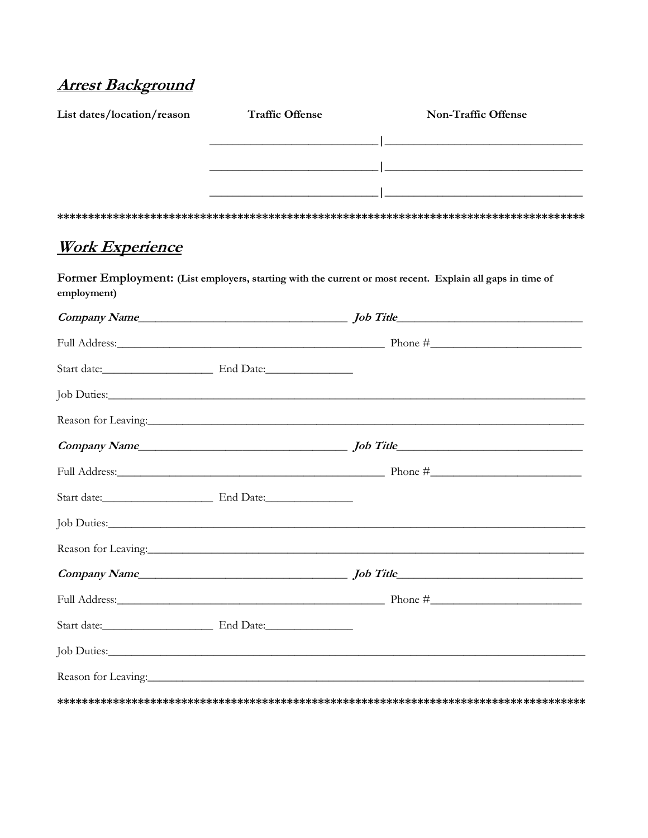## **Arrest Background**

| List dates/location/reason                                                                                                                                                                                                     | <b>Traffic Offense</b> | Non-Traffic Offense                                                                                                                                                                                                            |
|--------------------------------------------------------------------------------------------------------------------------------------------------------------------------------------------------------------------------------|------------------------|--------------------------------------------------------------------------------------------------------------------------------------------------------------------------------------------------------------------------------|
|                                                                                                                                                                                                                                |                        |                                                                                                                                                                                                                                |
|                                                                                                                                                                                                                                |                        |                                                                                                                                                                                                                                |
|                                                                                                                                                                                                                                |                        | <u> 2000 - Jan James James James James James James James James James James James James James James James James J</u>                                                                                                           |
|                                                                                                                                                                                                                                |                        |                                                                                                                                                                                                                                |
| <u>Work Experience</u>                                                                                                                                                                                                         |                        |                                                                                                                                                                                                                                |
| employment)                                                                                                                                                                                                                    |                        | Former Employment: (List employers, starting with the current or most recent. Explain all gaps in time of                                                                                                                      |
|                                                                                                                                                                                                                                |                        |                                                                                                                                                                                                                                |
|                                                                                                                                                                                                                                |                        |                                                                                                                                                                                                                                |
|                                                                                                                                                                                                                                |                        |                                                                                                                                                                                                                                |
|                                                                                                                                                                                                                                |                        | Job Duties: New York: New York: New York: New York: New York: New York: New York: New York: New York: New York: New York: New York: New York: New York: New York: New York: New York: New York: New York: New York: New York:  |
|                                                                                                                                                                                                                                |                        |                                                                                                                                                                                                                                |
|                                                                                                                                                                                                                                |                        |                                                                                                                                                                                                                                |
|                                                                                                                                                                                                                                |                        |                                                                                                                                                                                                                                |
|                                                                                                                                                                                                                                |                        |                                                                                                                                                                                                                                |
|                                                                                                                                                                                                                                |                        | Job Duties: Note and the set of the set of the set of the set of the set of the set of the set of the set of the set of the set of the set of the set of the set of the set of the set of the set of the set of the set of the |
|                                                                                                                                                                                                                                |                        | Reason for Leaving: New York: New York: New York: New York: New York: New York: New York: New York: New York: New York: New York: New York: New York: New York: New York: New York: New York: New York: New York: New York: Ne |
| Company Name                                                                                                                                                                                                                   |                        |                                                                                                                                                                                                                                |
|                                                                                                                                                                                                                                |                        |                                                                                                                                                                                                                                |
|                                                                                                                                                                                                                                |                        |                                                                                                                                                                                                                                |
|                                                                                                                                                                                                                                |                        |                                                                                                                                                                                                                                |
| Reason for Leaving: 1988 and 1989 and 1989 and 1989 and 1989 and 1989 and 1989 and 1989 and 1989 and 1989 and 1989 and 1989 and 1989 and 1989 and 1989 and 1989 and 1989 and 1989 and 1989 and 1989 and 1989 and 1989 and 1989 |                        |                                                                                                                                                                                                                                |
|                                                                                                                                                                                                                                |                        |                                                                                                                                                                                                                                |